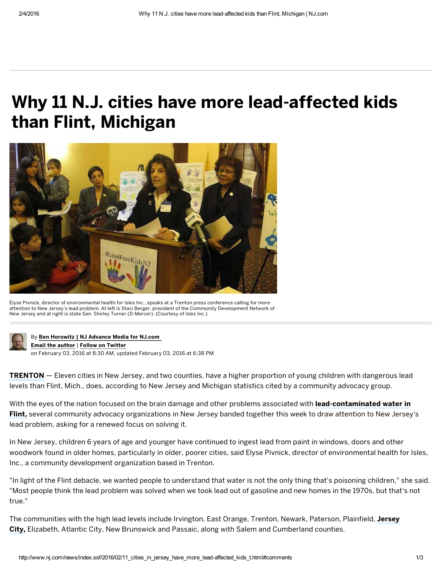## Why 11 N.J. cities have more lead-affected kids than Flint, Michigan



Elyse Pivnick, director of environmental health for Isles Inc., speaks at a Trenton press conference calling for more attention to New Jersey's lead problem. At left is Staci Berger, president of the Community Development Network of New Jersey and at right is state Sen. Shirley Turner (D‑Mercer). (Courtesy of Isles Inc.)



[B](http://cloud.siteencore.com/v1/loading.html#rotftwetu=aHR0cCUzQS8vd3d3Lm5qLmNvbS9uZXdzL2luZGV4LnNzZi8yMDE2LzAyLzExX2NpdGllc19pbl9qZXJzZXlfaGF2ZV9tb3JlX2xlYWQtYWZmZWN0ZWRfa2lkc190Lmh0bWwlMjNjb21tZW50cw%3D%3D&ibothsahtrtd=aHR0cCUzQS8vY29ubmVjdC5uai5jb20vc3RhZmYvYmVob3Jvd2kvaW5kZXguaHRtbA%3D%3D&shtlp=aHR0cCUzQS8vd3d3Lm5qLmNvbS9uZXdzL2luZGV4LnNzZi8yMDE2LzAyLzExX2NpdGllc19pbl9qZXJzZXlfaGF2ZV9tb3JlX2xlYWQtYWZmZWN0ZWRfa2lkc190Lmh0bWwlMjNjb21tZW50cw%3D%3D&otisu=aHR0cCUzQS8vd3d3LnNpdGVlbmNvcmUuY29tL0FkdmFuY2VOZXQvTkovTkpTdXJ2ZXkvaW5kZXguaHRtbA%3D%3D&x=-4&y=0&w=1284&h=557&t=14546060068061&tokenID=AFGM2P8VAKL1T1OPNHUX6A1C1MF32AAT&s=c2l0ZWVuY29yZS5jb20%3D)y Ben [Horowitz](http://cloud.siteencore.com/v1/loading.html#rotftwetu=aHR0cCUzQS8vd3d3Lm5qLmNvbS9uZXdzL2luZGV4LnNzZi8yMDE2LzAyLzExX2NpdGllc19pbl9qZXJzZXlfaGF2ZV9tb3JlX2xlYWQtYWZmZWN0ZWRfa2lkc190Lmh0bWwlMjNjb21tZW50cw%3D%3D&ibothsahtrtd=aHR0cCUzQS8vY29ubmVjdC5uai5jb20vc3RhZmYvYmVob3Jvd2kvcG9zdHMuaHRtbA%3D%3D&shtlp=aHR0cCUzQS8vd3d3Lm5qLmNvbS9uZXdzL2luZGV4LnNzZi8yMDE2LzAyLzExX2NpdGllc19pbl9qZXJzZXlfaGF2ZV9tb3JlX2xlYWQtYWZmZWN0ZWRfa2lkc190Lmh0bWwlMjNjb21tZW50cw%3D%3D&otisu=aHR0cCUzQS8vd3d3LnNpdGVlbmNvcmUuY29tL0FkdmFuY2VOZXQvTkovTkpTdXJ2ZXkvaW5kZXguaHRtbA%3D%3D&x=-4&y=0&w=1284&h=557&t=14546060068061&tokenID=AFGM2P8VAKL1T1OPNHUX6A1C1MF32AAT&s=c2l0ZWVuY29yZS5jb20%3D) | NJ Advance Media for NJ.com Email the author | Follow on [Twitter](http://cloud.siteencore.com/v1/loading.html#rotftwetu=aHR0cCUzQS8vd3d3Lm5qLmNvbS9uZXdzL2luZGV4LnNzZi8yMDE2LzAyLzExX2NpdGllc19pbl9qZXJzZXlfaGF2ZV9tb3JlX2xlYWQtYWZmZWN0ZWRfa2lkc190Lmh0bWwlMjNjb21tZW50cw%3D%3D&ibothsahtrtd=aHR0cCUzQS8vbmouY29tL21vcnJpcw%3D%3D&shtlp=aHR0cCUzQS8vd3d3Lm5qLmNvbS9uZXdzL2luZGV4LnNzZi8yMDE2LzAyLzExX2NpdGllc19pbl9qZXJzZXlfaGF2ZV9tb3JlX2xlYWQtYWZmZWN0ZWRfa2lkc190Lmh0bWwlMjNjb21tZW50cw%3D%3D&otisu=aHR0cCUzQS8vd3d3LnNpdGVlbmNvcmUuY29tL0FkdmFuY2VOZXQvTkovTkpTdXJ2ZXkvaW5kZXguaHRtbA%3D%3D&x=-4&y=0&w=1284&h=557&t=14546060068121&tokenID=AFGM2P8VAKL1T1OPNHUX6A1C1MF32AAT&s=c2l0ZWVuY29yZS5jb20%3D)

on February 03, 2016 at 8:30 AM, updated February 03, 2016 at 6:38 PM

**[TRENTON](http://cloud.siteencore.com/v1/loading.html#rotftwetu=aHR0cCUzQS8vd3d3Lm5qLmNvbS9uZXdzL2luZGV4LnNzZi8yMDE2LzAyLzExX2NpdGllc19pbl9qZXJzZXlfaGF2ZV9tb3JlX2xlYWQtYWZmZWN0ZWRfa2lkc190Lmh0bWwlMjNjb21tZW50cw%3D%3D&ibothsahtrtd=aHR0cCUzQS8vd3d3Lm5qLmNvbS9tZXJjZXI%3D&shtlp=aHR0cCUzQS8vd3d3Lm5qLmNvbS9uZXdzL2luZGV4LnNzZi8yMDE2LzAyLzExX2NpdGllc19pbl9qZXJzZXlfaGF2ZV9tb3JlX2xlYWQtYWZmZWN0ZWRfa2lkc190Lmh0bWwlMjNjb21tZW50cw%3D%3D&otisu=aHR0cCUzQS8vd3d3LnNpdGVlbmNvcmUuY29tL0FkdmFuY2VOZXQvTkovTkpTdXJ2ZXkvaW5kZXguaHRtbA%3D%3D&x=-4&y=0&w=1284&h=557&t=14546060068121&tokenID=AFGM2P8VAKL1T1OPNHUX6A1C1MF32AAT&s=c2l0ZWVuY29yZS5jb20%3D)** — Eleven cities in New Jersey, and two counties, have a higher proportion of young children with dangerous lead levels than Flint, Mich., does, according to New Jersey and Michigan statistics cited by a community advocacy group.

With the eyes of the nation focused on the brain damage and other problems associated with lead-contaminated water in Flint, several community advocacy organizations in New Jersey banded together this week to draw attention to New Jersey's lead problem, asking for a renewed focus on solving it.

In New Jersey, children 6 years of age and younger have continued to ingest lead from paint in windows, doors and other woodwork found in older homes, particularly in older, poorer cities, said Elyse Pivnick, director of environmental health for Isles, Inc., a community development organization based in Trenton.

"In light of the Flint debacle, we wanted people to understand that water is not the only thing that's poisoning children," she said. "Most people think the lead problem was solved when we took lead out of gasoline and new homes in the 1970s, but that's not true."

The [communities](http://cloud.siteencore.com/v1/loading.html#rotftwetu=aHR0cCUzQS8vd3d3Lm5qLmNvbS9uZXdzL2luZGV4LnNzZi8yMDE2LzAyLzExX2NpdGllc19pbl9qZXJzZXlfaGF2ZV9tb3JlX2xlYWQtYWZmZWN0ZWRfa2lkc190Lmh0bWwlMjNjb21tZW50cw%3D%3D&ibothsahtrtd=aHR0cCUzQS8vd3d3Lm5qLmNvbS9odWRzb24vaW5kZXguc3NmLzIwMTYvMDIvaW5fcmVzcG9uc2VfdG9fZmxpbnRfY3Jpc2lzX2plcnNleV9jaXR5X3RvX2hpcmVfdGguaHRtbA%3D%3D&shtlp=aHR0cCUzQS8vd3d3Lm5qLmNvbS9uZXdzL2luZGV4LnNzZi8yMDE2LzAyLzExX2NpdGllc19pbl9qZXJzZXlfaGF2ZV9tb3JlX2xlYWQtYWZmZWN0ZWRfa2lkc190Lmh0bWwlMjNjb21tZW50cw%3D%3D&otisu=aHR0cCUzQS8vd3d3LnNpdGVlbmNvcmUuY29tL0FkdmFuY2VOZXQvTkovTkpTdXJ2ZXkvaW5kZXguaHRtbA%3D%3D&x=-4&y=0&w=1284&h=557&t=14546060068141&tokenID=AFGM2P8VAKL1T1OPNHUX6A1C1MF32AAT&s=c2l0ZWVuY29yZS5jb20%3D) with the high lead levels include Irvington, East Orange, Trenton, Newark, Paterson, Plainfield, Jersey City, Elizabeth, Atlantic City, New Brunswick and Passaic, along with Salem and Cumberland counties.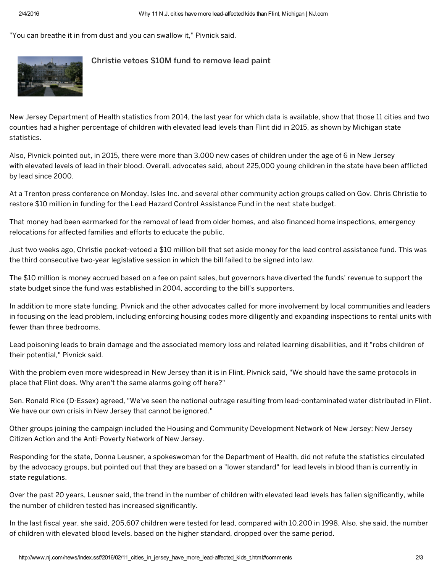"You can breathe it in from dust and you can swallow it," Pivnick said.



## [Christie](http://www.nj.com/politics/index.ssf/2016/01/christie_vetoes_10m_fund_to_remove_lead_paint_from.html#incart_article_small) vetoes \$10M fund to remove lead paint

New Jersey Department of Health statistics from 2014, the last year for which data is available, show that those 11 cities and two counties had a higher percentage of children with elevated lead levels than Flint did in 2015, as shown by Michigan state statistics.

Also, Pivnick pointed out, in 2015, there were more than 3,000 new cases of children under the age of 6 in New Jersey with elevated levels of lead in their blood. Overall, advocates said, about 225,000 young children in the state have been afflicted by lead since 2000.

At a Trenton press conference on Monday, Isles Inc. and several other community action groups called on Gov. Chris Christie to restore \$10 million in funding for the Lead Hazard Control Assistance Fund in the next state budget.

That money had been earmarked for the removal of lead from older homes, and also financed home inspections, emergency relocations for affected families and efforts to educate the public.

Just two weeks ago, Christie pocket-vetoed a \$10 million bill that set aside money for the lead control assistance fund. This was the third consecutive two-year legislative session in which the bill failed to be signed into law.

The \$10 million is money accrued based on a fee on paint sales, but governors have diverted the funds' revenue to support the state budget since the fund was established in 2004, according to the bill's supporters.

In addition to more state funding, Pivnick and the other advocates called for more involvement by local communities and leaders in focusing on the lead problem, including enforcing housing codes more diligently and expanding inspections to rental units with fewer than three bedrooms.

Lead poisoning leads to brain damage and the associated memory loss and related learning disabilities, and it "robs children of their potential," Pivnick said.

With the problem even more widespread in New Jersey than it is in Flint, Pivnick said, "We should have the same protocols in place that Flint does. Why aren't the same alarms going off here?"

Sen. Ronald Rice (D‑Essex) agreed, "We've seen the national outrage resulting from lead‑contaminated water distributed in Flint. We have our own crisis in New Jersey that cannot be ignored."

Other groups joining the campaign included the Housing and Community Development Network of New Jersey; New Jersey Citizen Action and the Anti‑Poverty Network of New Jersey.

Responding for the state, Donna Leusner, a spokeswoman for the Department of Health, did not refute the statistics circulated by the advocacy groups, but pointed out that they are based on a "lower standard" for lead levels in blood than is currently in state regulations.

Over the past 20 years, Leusner said, the trend in the number of children with elevated lead levels has fallen significantly, while the number of children tested has increased significantly.

In the last fiscal year, she said, 205,607 children were tested for lead, compared with 10,200 in 1998. Also, she said, the number of children with elevated blood levels, based on the higher standard, dropped over the same period.